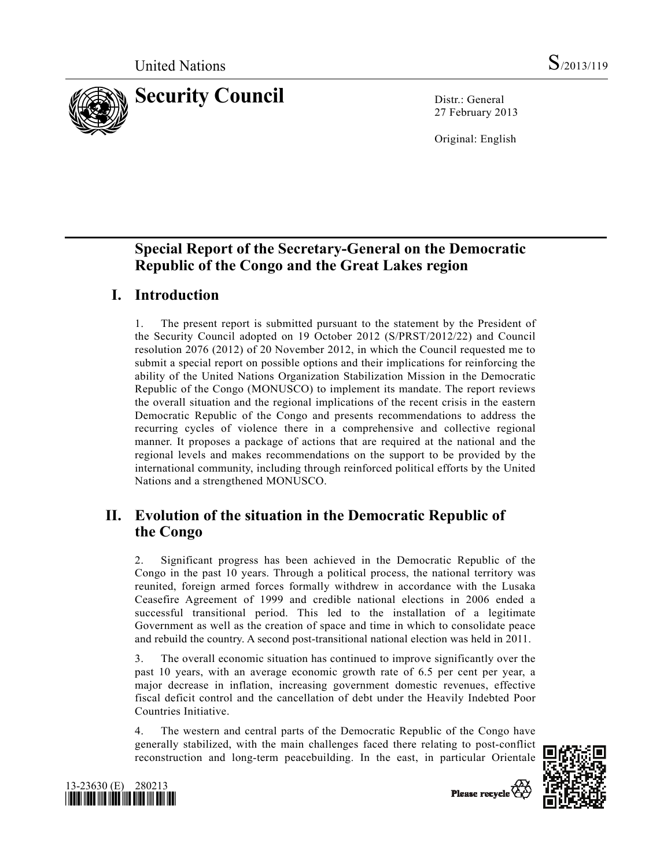

27 February 2013

Original: English

# **Special Report of the Secretary-General on the Democratic Republic of the Congo and the Great Lakes region**

# **I. Introduction**

1. The present report is submitted pursuant to the statement by the President of the Security Council adopted on 19 October 2012 (S/PRST/2012/22) and Council resolution 2076 (2012) of 20 November 2012, in which the Council requested me to submit a special report on possible options and their implications for reinforcing the ability of the United Nations Organization Stabilization Mission in the Democratic Republic of the Congo (MONUSCO) to implement its mandate. The report reviews the overall situation and the regional implications of the recent crisis in the eastern Democratic Republic of the Congo and presents recommendations to address the recurring cycles of violence there in a comprehensive and collective regional manner. It proposes a package of actions that are required at the national and the regional levels and makes recommendations on the support to be provided by the international community, including through reinforced political efforts by the United Nations and a strengthened MONUSCO.

# **II. Evolution of the situation in the Democratic Republic of the Congo**

2. Significant progress has been achieved in the Democratic Republic of the Congo in the past 10 years. Through a political process, the national territory was reunited, foreign armed forces formally withdrew in accordance with the Lusaka Ceasefire Agreement of 1999 and credible national elections in 2006 ended a successful transitional period. This led to the installation of a legitimate Government as well as the creation of space and time in which to consolidate peace and rebuild the country. A second post-transitional national election was held in 2011.

3. The overall economic situation has continued to improve significantly over the past 10 years, with an average economic growth rate of 6.5 per cent per year, a major decrease in inflation, increasing government domestic revenues, effective fiscal deficit control and the cancellation of debt under the Heavily Indebted Poor Countries Initiative.

4. The western and central parts of the Democratic Republic of the Congo have generally stabilized, with the main challenges faced there relating to post-conflict reconstruction and long-term peacebuilding. In the east, in particular Orientale





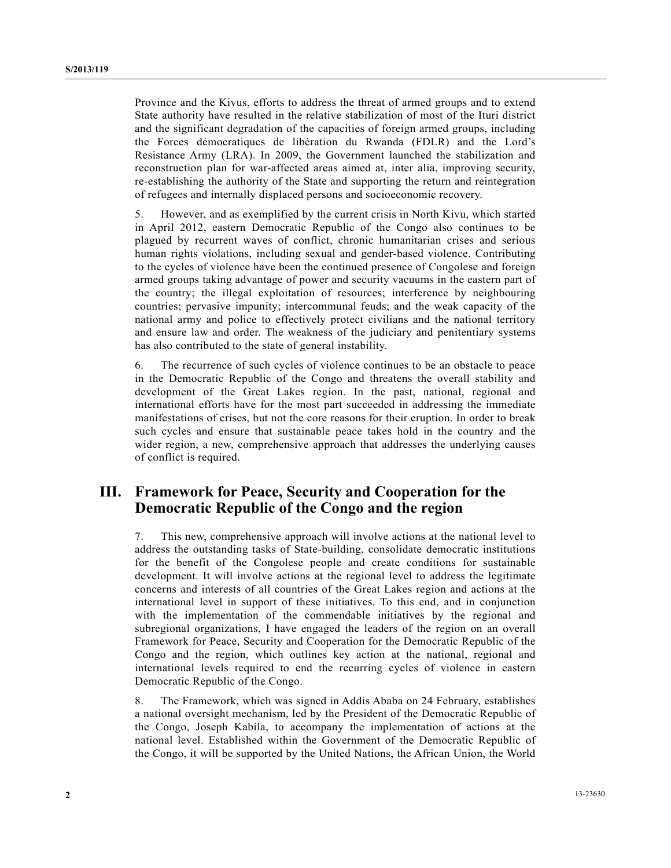Province and the Kivus, efforts to address the threat of armed groups and to extend State authority have resulted in the relative stabilization of most of the Ituri district and the significant degradation of the capacities of foreign armed groups, including the Forces démocratiques de libération du Rwanda (FDLR) and the Lord's Resistance Army (LRA). In 2009, the Government launched the stabilization and reconstruction plan for war-affected areas aimed at, inter alia, improving security, re-establishing the authority of the State and supporting the return and reintegration of refugees and internally displaced persons and socioeconomic recovery.

5. However, and as exemplified by the current crisis in North Kivu, which started in April 2012, eastern Democratic Republic of the Congo also continues to be plagued by recurrent waves of conflict, chronic humanitarian crises and serious human rights violations, including sexual and gender-based violence. Contributing to the cycles of violence have been the continued presence of Congolese and foreign armed groups taking advantage of power and security vacuums in the eastern part of the country; the illegal exploitation of resources; interference by neighbouring countries; pervasive impunity; intercommunal feuds; and the weak capacity of the national army and police to effectively protect civilians and the national territory and ensure law and order. The weakness of the judiciary and penitentiary systems has also contributed to the state of general instability.

6. The recurrence of such cycles of violence continues to be an obstacle to peace in the Democratic Republic of the Congo and threatens the overall stability and development of the Great Lakes region. In the past, national, regional and international efforts have for the most part succeeded in addressing the immediate manifestations of crises, but not the core reasons for their eruption. In order to break such cycles and ensure that sustainable peace takes hold in the country and the wider region, a new, comprehensive approach that addresses the underlying causes of conflict is required.

# **III. Framework for Peace, Security and Cooperation for the Democratic Republic of the Congo and the region**

7. This new, comprehensive approach will involve actions at the national level to address the outstanding tasks of State-building, consolidate democratic institutions for the benefit of the Congolese people and create conditions for sustainable development. It will involve actions at the regional level to address the legitimate concerns and interests of all countries of the Great Lakes region and actions at the international level in support of these initiatives. To this end, and in conjunction with the implementation of the commendable initiatives by the regional and subregional organizations, I have engaged the leaders of the region on an overall Framework for Peace, Security and Cooperation for the Democratic Republic of the Congo and the region, which outlines key action at the national, regional and international levels required to end the recurring cycles of violence in eastern Democratic Republic of the Congo.

8. The Framework, which was signed in Addis Ababa on 24 February, establishes a national oversight mechanism, led by the President of the Democratic Republic of the Congo, Joseph Kabila, to accompany the implementation of actions at the national level. Established within the Government of the Democratic Republic of the Congo, it will be supported by the United Nations, the African Union, the World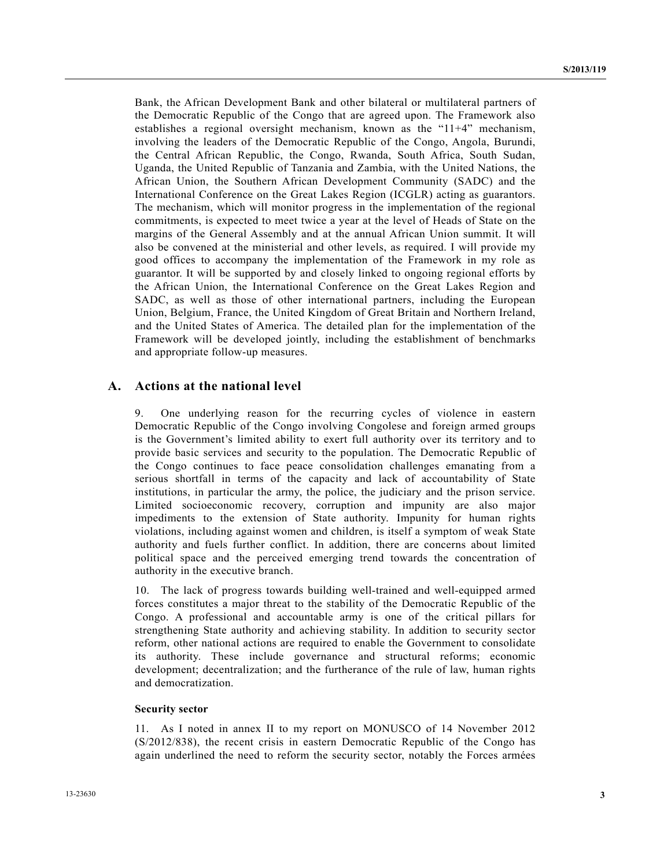Bank, the African Development Bank and other bilateral or multilateral partners of the Democratic Republic of the Congo that are agreed upon. The Framework also establishes a regional oversight mechanism, known as the "11+4" mechanism, involving the leaders of the Democratic Republic of the Congo, Angola, Burundi, the Central African Republic, the Congo, Rwanda, South Africa, South Sudan, Uganda, the United Republic of Tanzania and Zambia, with the United Nations, the African Union, the Southern African Development Community (SADC) and the International Conference on the Great Lakes Region (ICGLR) acting as guarantors. The mechanism, which will monitor progress in the implementation of the regional commitments, is expected to meet twice a year at the level of Heads of State on the margins of the General Assembly and at the annual African Union summit. It will also be convened at the ministerial and other levels, as required. I will provide my good offices to accompany the implementation of the Framework in my role as guarantor. It will be supported by and closely linked to ongoing regional efforts by the African Union, the International Conference on the Great Lakes Region and SADC, as well as those of other international partners, including the European Union, Belgium, France, the United Kingdom of Great Britain and Northern Ireland, and the United States of America. The detailed plan for the implementation of the Framework will be developed jointly, including the establishment of benchmarks and appropriate follow-up measures.

### **A. Actions at the national level**

9. One underlying reason for the recurring cycles of violence in eastern Democratic Republic of the Congo involving Congolese and foreign armed groups is the Government's limited ability to exert full authority over its territory and to provide basic services and security to the population. The Democratic Republic of the Congo continues to face peace consolidation challenges emanating from a serious shortfall in terms of the capacity and lack of accountability of State institutions, in particular the army, the police, the judiciary and the prison service. Limited socioeconomic recovery, corruption and impunity are also major impediments to the extension of State authority. Impunity for human rights violations, including against women and children, is itself a symptom of weak State authority and fuels further conflict. In addition, there are concerns about limited political space and the perceived emerging trend towards the concentration of authority in the executive branch.

10. The lack of progress towards building well-trained and well-equipped armed forces constitutes a major threat to the stability of the Democratic Republic of the Congo. A professional and accountable army is one of the critical pillars for strengthening State authority and achieving stability. In addition to security sector reform, other national actions are required to enable the Government to consolidate its authority. These include governance and structural reforms; economic development; decentralization; and the furtherance of the rule of law, human rights and democratization.

### **Security sector**

11. As I noted in annex II to my report on MONUSCO of 14 November 2012 (S/2012/838), the recent crisis in eastern Democratic Republic of the Congo has again underlined the need to reform the security sector, notably the Forces armées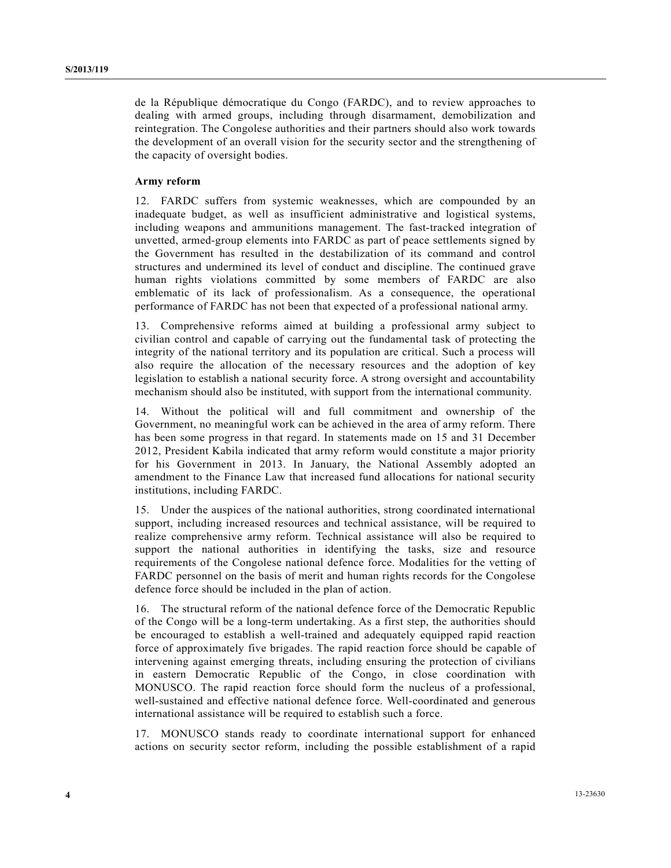de la République démocratique du Congo (FARDC), and to review approaches to dealing with armed groups, including through disarmament, demobilization and reintegration. The Congolese authorities and their partners should also work towards the development of an overall vision for the security sector and the strengthening of the capacity of oversight bodies.

#### **Army reform**

12. FARDC suffers from systemic weaknesses, which are compounded by an inadequate budget, as well as insufficient administrative and logistical systems, including weapons and ammunitions management. The fast-tracked integration of unvetted, armed-group elements into FARDC as part of peace settlements signed by the Government has resulted in the destabilization of its command and control structures and undermined its level of conduct and discipline. The continued grave human rights violations committed by some members of FARDC are also emblematic of its lack of professionalism. As a consequence, the operational performance of FARDC has not been that expected of a professional national army.

13. Comprehensive reforms aimed at building a professional army subject to civilian control and capable of carrying out the fundamental task of protecting the integrity of the national territory and its population are critical. Such a process will also require the allocation of the necessary resources and the adoption of key legislation to establish a national security force. A strong oversight and accountability mechanism should also be instituted, with support from the international community.

14. Without the political will and full commitment and ownership of the Government, no meaningful work can be achieved in the area of army reform. There has been some progress in that regard. In statements made on 15 and 31 December 2012, President Kabila indicated that army reform would constitute a major priority for his Government in 2013. In January, the National Assembly adopted an amendment to the Finance Law that increased fund allocations for national security institutions, including FARDC.

15. Under the auspices of the national authorities, strong coordinated international support, including increased resources and technical assistance, will be required to realize comprehensive army reform. Technical assistance will also be required to support the national authorities in identifying the tasks, size and resource requirements of the Congolese national defence force. Modalities for the vetting of FARDC personnel on the basis of merit and human rights records for the Congolese defence force should be included in the plan of action.

16. The structural reform of the national defence force of the Democratic Republic of the Congo will be a long-term undertaking. As a first step, the authorities should be encouraged to establish a well-trained and adequately equipped rapid reaction force of approximately five brigades. The rapid reaction force should be capable of intervening against emerging threats, including ensuring the protection of civilians in eastern Democratic Republic of the Congo, in close coordination with MONUSCO. The rapid reaction force should form the nucleus of a professional, well-sustained and effective national defence force. Well-coordinated and generous international assistance will be required to establish such a force.

17. MONUSCO stands ready to coordinate international support for enhanced actions on security sector reform, including the possible establishment of a rapid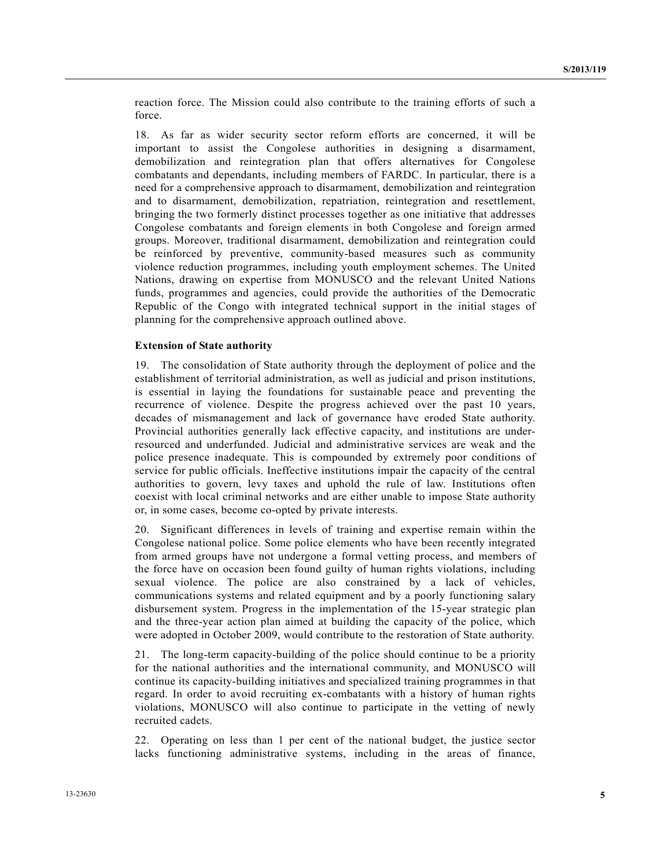reaction force. The Mission could also contribute to the training efforts of such a force.

18. As far as wider security sector reform efforts are concerned, it will be important to assist the Congolese authorities in designing a disarmament, demobilization and reintegration plan that offers alternatives for Congolese combatants and dependants, including members of FARDC. In particular, there is a need for a comprehensive approach to disarmament, demobilization and reintegration and to disarmament, demobilization, repatriation, reintegration and resettlement, bringing the two formerly distinct processes together as one initiative that addresses Congolese combatants and foreign elements in both Congolese and foreign armed groups. Moreover, traditional disarmament, demobilization and reintegration could be reinforced by preventive, community-based measures such as community violence reduction programmes, including youth employment schemes. The United Nations, drawing on expertise from MONUSCO and the relevant United Nations funds, programmes and agencies, could provide the authorities of the Democratic Republic of the Congo with integrated technical support in the initial stages of planning for the comprehensive approach outlined above.

#### **Extension of State authority**

19. The consolidation of State authority through the deployment of police and the establishment of territorial administration, as well as judicial and prison institutions, is essential in laying the foundations for sustainable peace and preventing the recurrence of violence. Despite the progress achieved over the past 10 years, decades of mismanagement and lack of governance have eroded State authority. Provincial authorities generally lack effective capacity, and institutions are underresourced and underfunded. Judicial and administrative services are weak and the police presence inadequate. This is compounded by extremely poor conditions of service for public officials. Ineffective institutions impair the capacity of the central authorities to govern, levy taxes and uphold the rule of law. Institutions often coexist with local criminal networks and are either unable to impose State authority or, in some cases, become co-opted by private interests.

20. Significant differences in levels of training and expertise remain within the Congolese national police. Some police elements who have been recently integrated from armed groups have not undergone a formal vetting process, and members of the force have on occasion been found guilty of human rights violations, including sexual violence. The police are also constrained by a lack of vehicles, communications systems and related equipment and by a poorly functioning salary disbursement system. Progress in the implementation of the 15-year strategic plan and the three-year action plan aimed at building the capacity of the police, which were adopted in October 2009, would contribute to the restoration of State authority.

21. The long-term capacity-building of the police should continue to be a priority for the national authorities and the international community, and MONUSCO will continue its capacity-building initiatives and specialized training programmes in that regard. In order to avoid recruiting ex-combatants with a history of human rights violations, MONUSCO will also continue to participate in the vetting of newly recruited cadets.

22. Operating on less than 1 per cent of the national budget, the justice sector lacks functioning administrative systems, including in the areas of finance,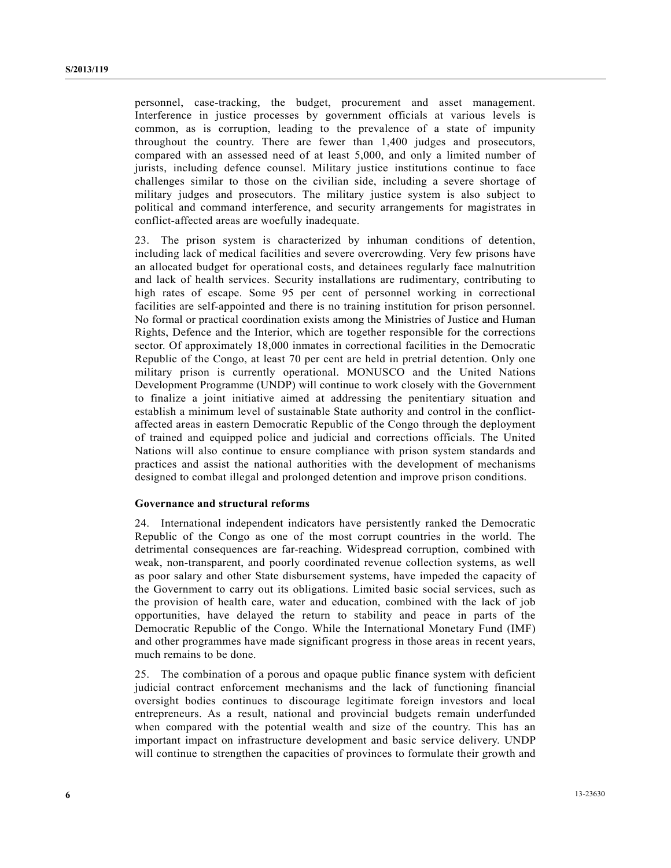personnel, case-tracking, the budget, procurement and asset management. Interference in justice processes by government officials at various levels is common, as is corruption, leading to the prevalence of a state of impunity throughout the country. There are fewer than 1,400 judges and prosecutors, compared with an assessed need of at least 5,000, and only a limited number of jurists, including defence counsel. Military justice institutions continue to face challenges similar to those on the civilian side, including a severe shortage of military judges and prosecutors. The military justice system is also subject to political and command interference, and security arrangements for magistrates in conflict-affected areas are woefully inadequate.

23. The prison system is characterized by inhuman conditions of detention, including lack of medical facilities and severe overcrowding. Very few prisons have an allocated budget for operational costs, and detainees regularly face malnutrition and lack of health services. Security installations are rudimentary, contributing to high rates of escape. Some 95 per cent of personnel working in correctional facilities are self-appointed and there is no training institution for prison personnel. No formal or practical coordination exists among the Ministries of Justice and Human Rights, Defence and the Interior, which are together responsible for the corrections sector. Of approximately 18,000 inmates in correctional facilities in the Democratic Republic of the Congo, at least 70 per cent are held in pretrial detention. Only one military prison is currently operational. MONUSCO and the United Nations Development Programme (UNDP) will continue to work closely with the Government to finalize a joint initiative aimed at addressing the penitentiary situation and establish a minimum level of sustainable State authority and control in the conflictaffected areas in eastern Democratic Republic of the Congo through the deployment of trained and equipped police and judicial and corrections officials. The United Nations will also continue to ensure compliance with prison system standards and practices and assist the national authorities with the development of mechanisms designed to combat illegal and prolonged detention and improve prison conditions.

### **Governance and structural reforms**

24. International independent indicators have persistently ranked the Democratic Republic of the Congo as one of the most corrupt countries in the world. The detrimental consequences are far-reaching. Widespread corruption, combined with weak, non-transparent, and poorly coordinated revenue collection systems, as well as poor salary and other State disbursement systems, have impeded the capacity of the Government to carry out its obligations. Limited basic social services, such as the provision of health care, water and education, combined with the lack of job opportunities, have delayed the return to stability and peace in parts of the Democratic Republic of the Congo. While the International Monetary Fund (IMF) and other programmes have made significant progress in those areas in recent years, much remains to be done.

25. The combination of a porous and opaque public finance system with deficient judicial contract enforcement mechanisms and the lack of functioning financial oversight bodies continues to discourage legitimate foreign investors and local entrepreneurs. As a result, national and provincial budgets remain underfunded when compared with the potential wealth and size of the country. This has an important impact on infrastructure development and basic service delivery. UNDP will continue to strengthen the capacities of provinces to formulate their growth and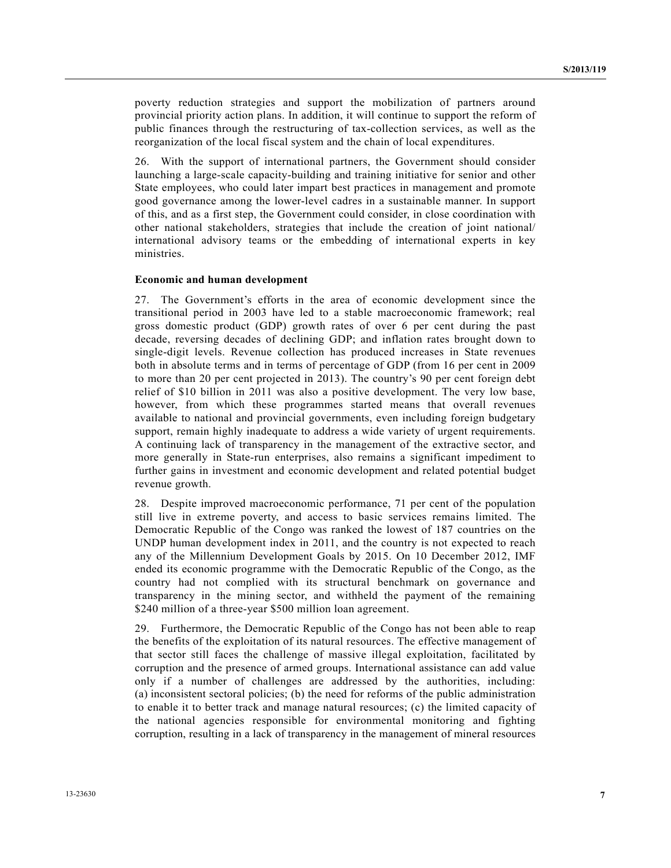poverty reduction strategies and support the mobilization of partners around provincial priority action plans. In addition, it will continue to support the reform of public finances through the restructuring of tax-collection services, as well as the reorganization of the local fiscal system and the chain of local expenditures.

26. With the support of international partners, the Government should consider launching a large-scale capacity-building and training initiative for senior and other State employees, who could later impart best practices in management and promote good governance among the lower-level cadres in a sustainable manner. In support of this, and as a first step, the Government could consider, in close coordination with other national stakeholders, strategies that include the creation of joint national/ international advisory teams or the embedding of international experts in key ministries.

#### **Economic and human development**

27. The Government's efforts in the area of economic development since the transitional period in 2003 have led to a stable macroeconomic framework; real gross domestic product (GDP) growth rates of over 6 per cent during the past decade, reversing decades of declining GDP; and inflation rates brought down to single-digit levels. Revenue collection has produced increases in State revenues both in absolute terms and in terms of percentage of GDP (from 16 per cent in 2009 to more than 20 per cent projected in 2013). The country's 90 per cent foreign debt relief of \$10 billion in 2011 was also a positive development. The very low base, however, from which these programmes started means that overall revenues available to national and provincial governments, even including foreign budgetary support, remain highly inadequate to address a wide variety of urgent requirements. A continuing lack of transparency in the management of the extractive sector, and more generally in State-run enterprises, also remains a significant impediment to further gains in investment and economic development and related potential budget revenue growth.

28. Despite improved macroeconomic performance, 71 per cent of the population still live in extreme poverty, and access to basic services remains limited. The Democratic Republic of the Congo was ranked the lowest of 187 countries on the UNDP human development index in 2011, and the country is not expected to reach any of the Millennium Development Goals by 2015. On 10 December 2012, IMF ended its economic programme with the Democratic Republic of the Congo, as the country had not complied with its structural benchmark on governance and transparency in the mining sector, and withheld the payment of the remaining \$240 million of a three-year \$500 million loan agreement.

29. Furthermore, the Democratic Republic of the Congo has not been able to reap the benefits of the exploitation of its natural resources. The effective management of that sector still faces the challenge of massive illegal exploitation, facilitated by corruption and the presence of armed groups. International assistance can add value only if a number of challenges are addressed by the authorities, including: (a) inconsistent sectoral policies; (b) the need for reforms of the public administration to enable it to better track and manage natural resources; (c) the limited capacity of the national agencies responsible for environmental monitoring and fighting corruption, resulting in a lack of transparency in the management of mineral resources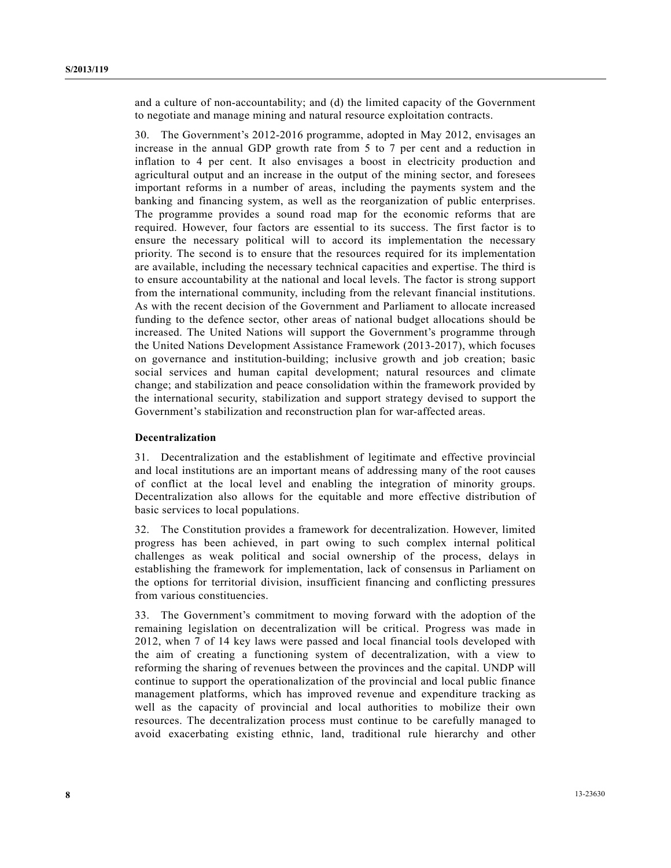and a culture of non-accountability; and (d) the limited capacity of the Government to negotiate and manage mining and natural resource exploitation contracts.

30. The Government's 2012-2016 programme, adopted in May 2012, envisages an increase in the annual GDP growth rate from 5 to 7 per cent and a reduction in inflation to 4 per cent. It also envisages a boost in electricity production and agricultural output and an increase in the output of the mining sector, and foresees important reforms in a number of areas, including the payments system and the banking and financing system, as well as the reorganization of public enterprises. The programme provides a sound road map for the economic reforms that are required. However, four factors are essential to its success. The first factor is to ensure the necessary political will to accord its implementation the necessary priority. The second is to ensure that the resources required for its implementation are available, including the necessary technical capacities and expertise. The third is to ensure accountability at the national and local levels. The factor is strong support from the international community, including from the relevant financial institutions. As with the recent decision of the Government and Parliament to allocate increased funding to the defence sector, other areas of national budget allocations should be increased. The United Nations will support the Government's programme through the United Nations Development Assistance Framework (2013-2017), which focuses on governance and institution-building; inclusive growth and job creation; basic social services and human capital development; natural resources and climate change; and stabilization and peace consolidation within the framework provided by the international security, stabilization and support strategy devised to support the Government's stabilization and reconstruction plan for war-affected areas.

### **Decentralization**

31. Decentralization and the establishment of legitimate and effective provincial and local institutions are an important means of addressing many of the root causes of conflict at the local level and enabling the integration of minority groups. Decentralization also allows for the equitable and more effective distribution of basic services to local populations.

32. The Constitution provides a framework for decentralization. However, limited progress has been achieved, in part owing to such complex internal political challenges as weak political and social ownership of the process, delays in establishing the framework for implementation, lack of consensus in Parliament on the options for territorial division, insufficient financing and conflicting pressures from various constituencies.

33. The Government's commitment to moving forward with the adoption of the remaining legislation on decentralization will be critical. Progress was made in 2012, when 7 of 14 key laws were passed and local financial tools developed with the aim of creating a functioning system of decentralization, with a view to reforming the sharing of revenues between the provinces and the capital. UNDP will continue to support the operationalization of the provincial and local public finance management platforms, which has improved revenue and expenditure tracking as well as the capacity of provincial and local authorities to mobilize their own resources. The decentralization process must continue to be carefully managed to avoid exacerbating existing ethnic, land, traditional rule hierarchy and other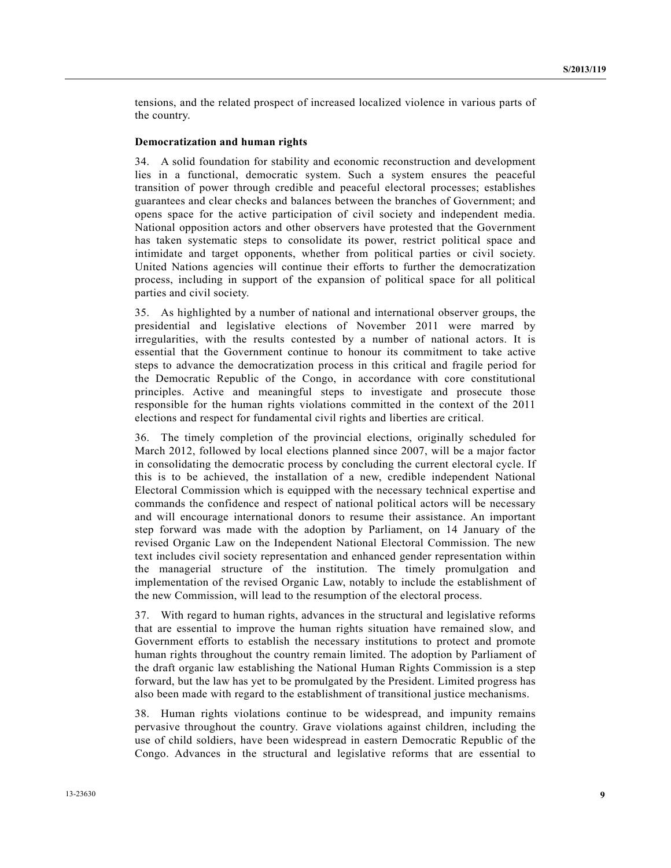tensions, and the related prospect of increased localized violence in various parts of the country.

#### **Democratization and human rights**

34. A solid foundation for stability and economic reconstruction and development lies in a functional, democratic system. Such a system ensures the peaceful transition of power through credible and peaceful electoral processes; establishes guarantees and clear checks and balances between the branches of Government; and opens space for the active participation of civil society and independent media. National opposition actors and other observers have protested that the Government has taken systematic steps to consolidate its power, restrict political space and intimidate and target opponents, whether from political parties or civil society. United Nations agencies will continue their efforts to further the democratization process, including in support of the expansion of political space for all political parties and civil society.

35. As highlighted by a number of national and international observer groups, the presidential and legislative elections of November 2011 were marred by irregularities, with the results contested by a number of national actors. It is essential that the Government continue to honour its commitment to take active steps to advance the democratization process in this critical and fragile period for the Democratic Republic of the Congo, in accordance with core constitutional principles. Active and meaningful steps to investigate and prosecute those responsible for the human rights violations committed in the context of the 2011 elections and respect for fundamental civil rights and liberties are critical.

36. The timely completion of the provincial elections, originally scheduled for March 2012, followed by local elections planned since 2007, will be a major factor in consolidating the democratic process by concluding the current electoral cycle. If this is to be achieved, the installation of a new, credible independent National Electoral Commission which is equipped with the necessary technical expertise and commands the confidence and respect of national political actors will be necessary and will encourage international donors to resume their assistance. An important step forward was made with the adoption by Parliament, on 14 January of the revised Organic Law on the Independent National Electoral Commission. The new text includes civil society representation and enhanced gender representation within the managerial structure of the institution. The timely promulgation and implementation of the revised Organic Law, notably to include the establishment of the new Commission, will lead to the resumption of the electoral process.

37. With regard to human rights, advances in the structural and legislative reforms that are essential to improve the human rights situation have remained slow, and Government efforts to establish the necessary institutions to protect and promote human rights throughout the country remain limited. The adoption by Parliament of the draft organic law establishing the National Human Rights Commission is a step forward, but the law has yet to be promulgated by the President. Limited progress has also been made with regard to the establishment of transitional justice mechanisms.

38. Human rights violations continue to be widespread, and impunity remains pervasive throughout the country. Grave violations against children, including the use of child soldiers, have been widespread in eastern Democratic Republic of the Congo. Advances in the structural and legislative reforms that are essential to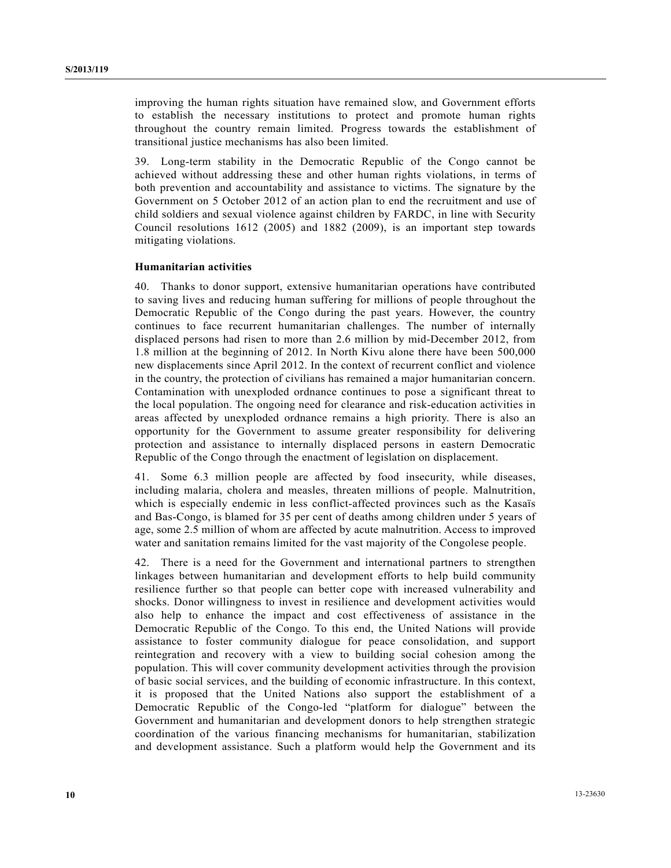improving the human rights situation have remained slow, and Government efforts to establish the necessary institutions to protect and promote human rights throughout the country remain limited. Progress towards the establishment of transitional justice mechanisms has also been limited.

39. Long-term stability in the Democratic Republic of the Congo cannot be achieved without addressing these and other human rights violations, in terms of both prevention and accountability and assistance to victims. The signature by the Government on 5 October 2012 of an action plan to end the recruitment and use of child soldiers and sexual violence against children by FARDC, in line with Security Council resolutions 1612 (2005) and 1882 (2009), is an important step towards mitigating violations.

#### **Humanitarian activities**

40. Thanks to donor support, extensive humanitarian operations have contributed to saving lives and reducing human suffering for millions of people throughout the Democratic Republic of the Congo during the past years. However, the country continues to face recurrent humanitarian challenges. The number of internally displaced persons had risen to more than 2.6 million by mid-December 2012, from 1.8 million at the beginning of 2012. In North Kivu alone there have been 500,000 new displacements since April 2012. In the context of recurrent conflict and violence in the country, the protection of civilians has remained a major humanitarian concern. Contamination with unexploded ordnance continues to pose a significant threat to the local population. The ongoing need for clearance and risk-education activities in areas affected by unexploded ordnance remains a high priority. There is also an opportunity for the Government to assume greater responsibility for delivering protection and assistance to internally displaced persons in eastern Democratic Republic of the Congo through the enactment of legislation on displacement.

41. Some 6.3 million people are affected by food insecurity, while diseases, including malaria, cholera and measles, threaten millions of people. Malnutrition, which is especially endemic in less conflict-affected provinces such as the Kasaïs and Bas-Congo, is blamed for 35 per cent of deaths among children under 5 years of age, some 2.5 million of whom are affected by acute malnutrition. Access to improved water and sanitation remains limited for the vast majority of the Congolese people.

42. There is a need for the Government and international partners to strengthen linkages between humanitarian and development efforts to help build community resilience further so that people can better cope with increased vulnerability and shocks. Donor willingness to invest in resilience and development activities would also help to enhance the impact and cost effectiveness of assistance in the Democratic Republic of the Congo. To this end, the United Nations will provide assistance to foster community dialogue for peace consolidation, and support reintegration and recovery with a view to building social cohesion among the population. This will cover community development activities through the provision of basic social services, and the building of economic infrastructure. In this context, it is proposed that the United Nations also support the establishment of a Democratic Republic of the Congo-led "platform for dialogue" between the Government and humanitarian and development donors to help strengthen strategic coordination of the various financing mechanisms for humanitarian, stabilization and development assistance. Such a platform would help the Government and its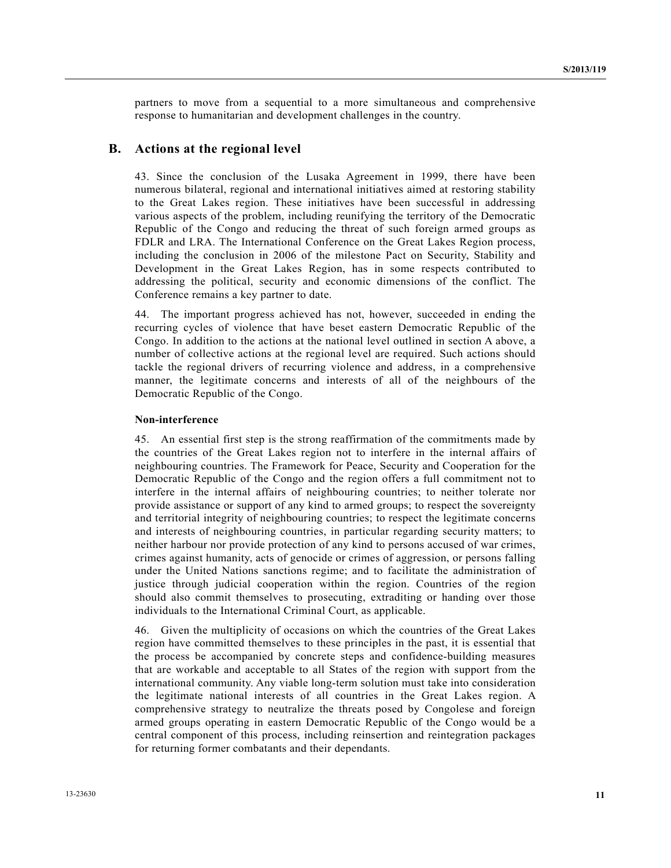partners to move from a sequential to a more simultaneous and comprehensive response to humanitarian and development challenges in the country.

### **B. Actions at the regional level**

43. Since the conclusion of the Lusaka Agreement in 1999, there have been numerous bilateral, regional and international initiatives aimed at restoring stability to the Great Lakes region. These initiatives have been successful in addressing various aspects of the problem, including reunifying the territory of the Democratic Republic of the Congo and reducing the threat of such foreign armed groups as FDLR and LRA. The International Conference on the Great Lakes Region process, including the conclusion in 2006 of the milestone Pact on Security, Stability and Development in the Great Lakes Region, has in some respects contributed to addressing the political, security and economic dimensions of the conflict. The Conference remains a key partner to date.

44. The important progress achieved has not, however, succeeded in ending the recurring cycles of violence that have beset eastern Democratic Republic of the Congo. In addition to the actions at the national level outlined in section A above, a number of collective actions at the regional level are required. Such actions should tackle the regional drivers of recurring violence and address, in a comprehensive manner, the legitimate concerns and interests of all of the neighbours of the Democratic Republic of the Congo.

#### **Non-interference**

45. An essential first step is the strong reaffirmation of the commitments made by the countries of the Great Lakes region not to interfere in the internal affairs of neighbouring countries. The Framework for Peace, Security and Cooperation for the Democratic Republic of the Congo and the region offers a full commitment not to interfere in the internal affairs of neighbouring countries; to neither tolerate nor provide assistance or support of any kind to armed groups; to respect the sovereignty and territorial integrity of neighbouring countries; to respect the legitimate concerns and interests of neighbouring countries, in particular regarding security matters; to neither harbour nor provide protection of any kind to persons accused of war crimes, crimes against humanity, acts of genocide or crimes of aggression, or persons falling under the United Nations sanctions regime; and to facilitate the administration of justice through judicial cooperation within the region. Countries of the region should also commit themselves to prosecuting, extraditing or handing over those individuals to the International Criminal Court, as applicable.

46. Given the multiplicity of occasions on which the countries of the Great Lakes region have committed themselves to these principles in the past, it is essential that the process be accompanied by concrete steps and confidence-building measures that are workable and acceptable to all States of the region with support from the international community. Any viable long-term solution must take into consideration the legitimate national interests of all countries in the Great Lakes region. A comprehensive strategy to neutralize the threats posed by Congolese and foreign armed groups operating in eastern Democratic Republic of the Congo would be a central component of this process, including reinsertion and reintegration packages for returning former combatants and their dependants.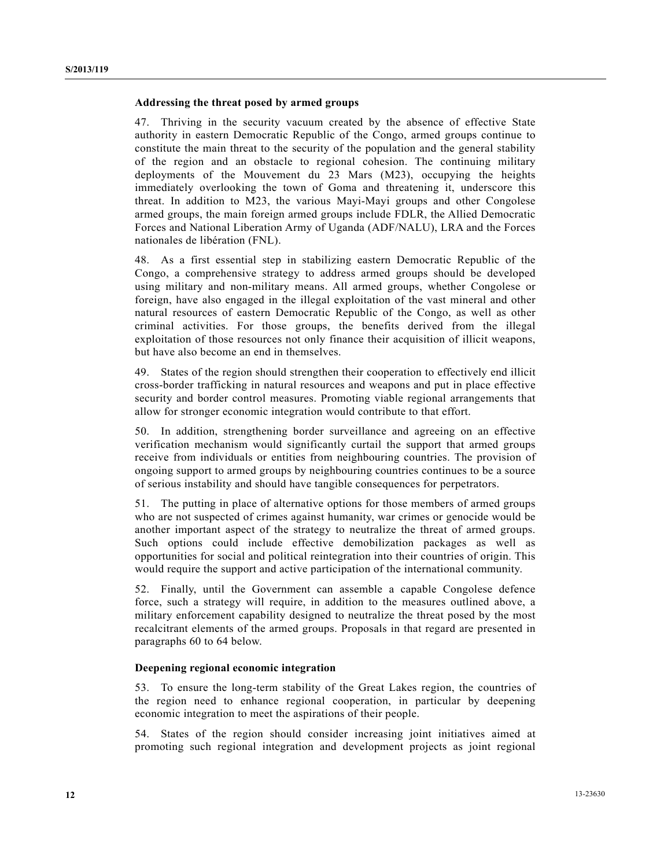### **Addressing the threat posed by armed groups**

47. Thriving in the security vacuum created by the absence of effective State authority in eastern Democratic Republic of the Congo, armed groups continue to constitute the main threat to the security of the population and the general stability of the region and an obstacle to regional cohesion. The continuing military deployments of the Mouvement du 23 Mars (M23), occupying the heights immediately overlooking the town of Goma and threatening it, underscore this threat. In addition to M23, the various Mayi-Mayi groups and other Congolese armed groups, the main foreign armed groups include FDLR, the Allied Democratic Forces and National Liberation Army of Uganda (ADF/NALU), LRA and the Forces nationales de libération (FNL).

48. As a first essential step in stabilizing eastern Democratic Republic of the Congo, a comprehensive strategy to address armed groups should be developed using military and non-military means. All armed groups, whether Congolese or foreign, have also engaged in the illegal exploitation of the vast mineral and other natural resources of eastern Democratic Republic of the Congo, as well as other criminal activities. For those groups, the benefits derived from the illegal exploitation of those resources not only finance their acquisition of illicit weapons, but have also become an end in themselves.

49. States of the region should strengthen their cooperation to effectively end illicit cross-border trafficking in natural resources and weapons and put in place effective security and border control measures. Promoting viable regional arrangements that allow for stronger economic integration would contribute to that effort.

50. In addition, strengthening border surveillance and agreeing on an effective verification mechanism would significantly curtail the support that armed groups receive from individuals or entities from neighbouring countries. The provision of ongoing support to armed groups by neighbouring countries continues to be a source of serious instability and should have tangible consequences for perpetrators.

51. The putting in place of alternative options for those members of armed groups who are not suspected of crimes against humanity, war crimes or genocide would be another important aspect of the strategy to neutralize the threat of armed groups. Such options could include effective demobilization packages as well as opportunities for social and political reintegration into their countries of origin. This would require the support and active participation of the international community.

52. Finally, until the Government can assemble a capable Congolese defence force, such a strategy will require, in addition to the measures outlined above, a military enforcement capability designed to neutralize the threat posed by the most recalcitrant elements of the armed groups. Proposals in that regard are presented in paragraphs 60 to 64 below.

#### **Deepening regional economic integration**

53. To ensure the long-term stability of the Great Lakes region, the countries of the region need to enhance regional cooperation, in particular by deepening economic integration to meet the aspirations of their people.

54. States of the region should consider increasing joint initiatives aimed at promoting such regional integration and development projects as joint regional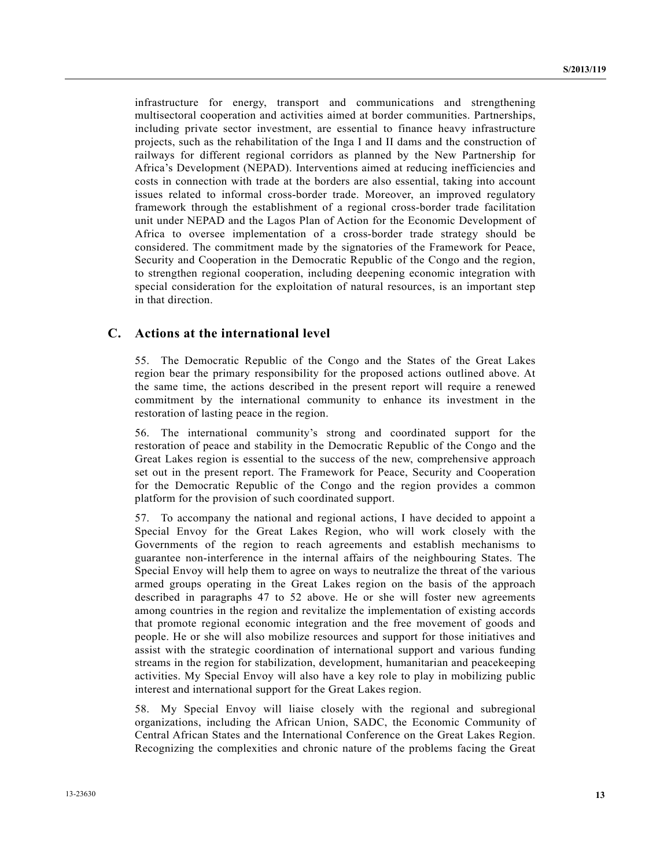infrastructure for energy, transport and communications and strengthening multisectoral cooperation and activities aimed at border communities. Partnerships, including private sector investment, are essential to finance heavy infrastructure projects, such as the rehabilitation of the Inga I and II dams and the construction of railways for different regional corridors as planned by the New Partnership for Africa's Development (NEPAD). Interventions aimed at reducing inefficiencies and costs in connection with trade at the borders are also essential, taking into account issues related to informal cross-border trade. Moreover, an improved regulatory framework through the establishment of a regional cross-border trade facilitation unit under NEPAD and the Lagos Plan of Action for the Economic Development of Africa to oversee implementation of a cross-border trade strategy should be considered. The commitment made by the signatories of the Framework for Peace, Security and Cooperation in the Democratic Republic of the Congo and the region, to strengthen regional cooperation, including deepening economic integration with special consideration for the exploitation of natural resources, is an important step in that direction.

### **C. Actions at the international level**

55. The Democratic Republic of the Congo and the States of the Great Lakes region bear the primary responsibility for the proposed actions outlined above. At the same time, the actions described in the present report will require a renewed commitment by the international community to enhance its investment in the restoration of lasting peace in the region.

56. The international community's strong and coordinated support for the restoration of peace and stability in the Democratic Republic of the Congo and the Great Lakes region is essential to the success of the new, comprehensive approach set out in the present report. The Framework for Peace, Security and Cooperation for the Democratic Republic of the Congo and the region provides a common platform for the provision of such coordinated support.

57. To accompany the national and regional actions, I have decided to appoint a Special Envoy for the Great Lakes Region, who will work closely with the Governments of the region to reach agreements and establish mechanisms to guarantee non-interference in the internal affairs of the neighbouring States. The Special Envoy will help them to agree on ways to neutralize the threat of the various armed groups operating in the Great Lakes region on the basis of the approach described in paragraphs 47 to 52 above. He or she will foster new agreements among countries in the region and revitalize the implementation of existing accords that promote regional economic integration and the free movement of goods and people. He or she will also mobilize resources and support for those initiatives and assist with the strategic coordination of international support and various funding streams in the region for stabilization, development, humanitarian and peacekeeping activities. My Special Envoy will also have a key role to play in mobilizing public interest and international support for the Great Lakes region.

58. My Special Envoy will liaise closely with the regional and subregional organizations, including the African Union, SADC, the Economic Community of Central African States and the International Conference on the Great Lakes Region. Recognizing the complexities and chronic nature of the problems facing the Great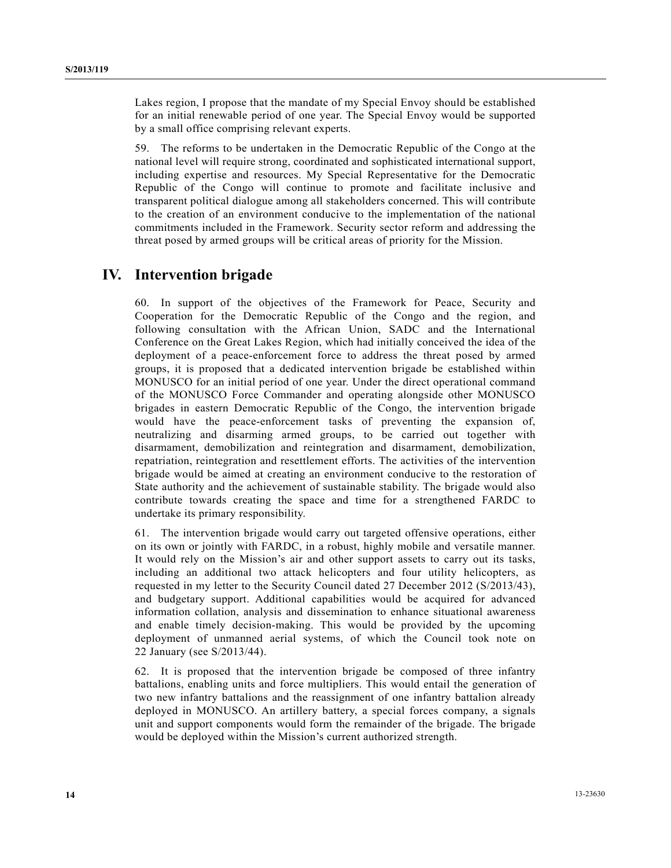Lakes region, I propose that the mandate of my Special Envoy should be established for an initial renewable period of one year. The Special Envoy would be supported by a small office comprising relevant experts.

59. The reforms to be undertaken in the Democratic Republic of the Congo at the national level will require strong, coordinated and sophisticated international support, including expertise and resources. My Special Representative for the Democratic Republic of the Congo will continue to promote and facilitate inclusive and transparent political dialogue among all stakeholders concerned. This will contribute to the creation of an environment conducive to the implementation of the national commitments included in the Framework. Security sector reform and addressing the threat posed by armed groups will be critical areas of priority for the Mission.

## **IV. Intervention brigade**

60. In support of the objectives of the Framework for Peace, Security and Cooperation for the Democratic Republic of the Congo and the region, and following consultation with the African Union, SADC and the International Conference on the Great Lakes Region, which had initially conceived the idea of the deployment of a peace-enforcement force to address the threat posed by armed groups, it is proposed that a dedicated intervention brigade be established within MONUSCO for an initial period of one year. Under the direct operational command of the MONUSCO Force Commander and operating alongside other MONUSCO brigades in eastern Democratic Republic of the Congo, the intervention brigade would have the peace-enforcement tasks of preventing the expansion of, neutralizing and disarming armed groups, to be carried out together with disarmament, demobilization and reintegration and disarmament, demobilization, repatriation, reintegration and resettlement efforts. The activities of the intervention brigade would be aimed at creating an environment conducive to the restoration of State authority and the achievement of sustainable stability. The brigade would also contribute towards creating the space and time for a strengthened FARDC to undertake its primary responsibility.

61. The intervention brigade would carry out targeted offensive operations, either on its own or jointly with FARDC, in a robust, highly mobile and versatile manner. It would rely on the Mission's air and other support assets to carry out its tasks, including an additional two attack helicopters and four utility helicopters, as requested in my letter to the Security Council dated 27 December 2012 (S/2013/43), and budgetary support. Additional capabilities would be acquired for advanced information collation, analysis and dissemination to enhance situational awareness and enable timely decision-making. This would be provided by the upcoming deployment of unmanned aerial systems, of which the Council took note on 22 January (see S/2013/44).

62. It is proposed that the intervention brigade be composed of three infantry battalions, enabling units and force multipliers. This would entail the generation of two new infantry battalions and the reassignment of one infantry battalion already deployed in MONUSCO. An artillery battery, a special forces company, a signals unit and support components would form the remainder of the brigade. The brigade would be deployed within the Mission's current authorized strength.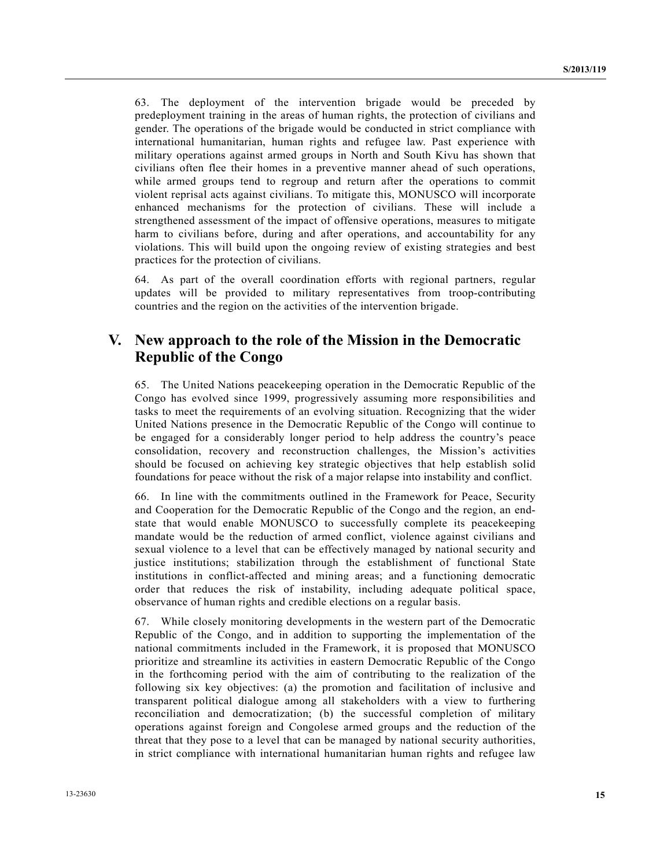63. The deployment of the intervention brigade would be preceded by predeployment training in the areas of human rights, the protection of civilians and gender. The operations of the brigade would be conducted in strict compliance with international humanitarian, human rights and refugee law. Past experience with military operations against armed groups in North and South Kivu has shown that civilians often flee their homes in a preventive manner ahead of such operations, while armed groups tend to regroup and return after the operations to commit violent reprisal acts against civilians. To mitigate this, MONUSCO will incorporate enhanced mechanisms for the protection of civilians. These will include a strengthened assessment of the impact of offensive operations, measures to mitigate harm to civilians before, during and after operations, and accountability for any violations. This will build upon the ongoing review of existing strategies and best practices for the protection of civilians.

64. As part of the overall coordination efforts with regional partners, regular updates will be provided to military representatives from troop-contributing countries and the region on the activities of the intervention brigade.

## **V. New approach to the role of the Mission in the Democratic Republic of the Congo**

65. The United Nations peacekeeping operation in the Democratic Republic of the Congo has evolved since 1999, progressively assuming more responsibilities and tasks to meet the requirements of an evolving situation. Recognizing that the wider United Nations presence in the Democratic Republic of the Congo will continue to be engaged for a considerably longer period to help address the country's peace consolidation, recovery and reconstruction challenges, the Mission's activities should be focused on achieving key strategic objectives that help establish solid foundations for peace without the risk of a major relapse into instability and conflict.

66. In line with the commitments outlined in the Framework for Peace, Security and Cooperation for the Democratic Republic of the Congo and the region, an endstate that would enable MONUSCO to successfully complete its peacekeeping mandate would be the reduction of armed conflict, violence against civilians and sexual violence to a level that can be effectively managed by national security and justice institutions; stabilization through the establishment of functional State institutions in conflict-affected and mining areas; and a functioning democratic order that reduces the risk of instability, including adequate political space, observance of human rights and credible elections on a regular basis.

67. While closely monitoring developments in the western part of the Democratic Republic of the Congo, and in addition to supporting the implementation of the national commitments included in the Framework, it is proposed that MONUSCO prioritize and streamline its activities in eastern Democratic Republic of the Congo in the forthcoming period with the aim of contributing to the realization of the following six key objectives: (a) the promotion and facilitation of inclusive and transparent political dialogue among all stakeholders with a view to furthering reconciliation and democratization; (b) the successful completion of military operations against foreign and Congolese armed groups and the reduction of the threat that they pose to a level that can be managed by national security authorities, in strict compliance with international humanitarian human rights and refugee law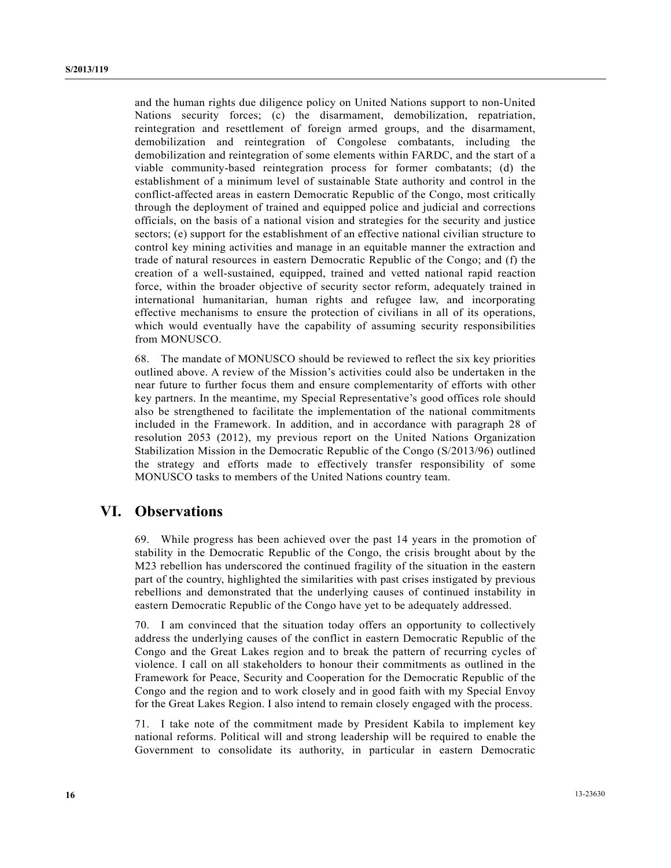and the human rights due diligence policy on United Nations support to non-United Nations security forces; (c) the disarmament, demobilization, repatriation, reintegration and resettlement of foreign armed groups, and the disarmament, demobilization and reintegration of Congolese combatants, including the demobilization and reintegration of some elements within FARDC, and the start of a viable community-based reintegration process for former combatants; (d) the establishment of a minimum level of sustainable State authority and control in the conflict-affected areas in eastern Democratic Republic of the Congo, most critically through the deployment of trained and equipped police and judicial and corrections officials, on the basis of a national vision and strategies for the security and justice sectors; (e) support for the establishment of an effective national civilian structure to control key mining activities and manage in an equitable manner the extraction and trade of natural resources in eastern Democratic Republic of the Congo; and (f) the creation of a well-sustained, equipped, trained and vetted national rapid reaction force, within the broader objective of security sector reform, adequately trained in international humanitarian, human rights and refugee law, and incorporating effective mechanisms to ensure the protection of civilians in all of its operations, which would eventually have the capability of assuming security responsibilities from MONUSCO.

68. The mandate of MONUSCO should be reviewed to reflect the six key priorities outlined above. A review of the Mission's activities could also be undertaken in the near future to further focus them and ensure complementarity of efforts with other key partners. In the meantime, my Special Representative's good offices role should also be strengthened to facilitate the implementation of the national commitments included in the Framework. In addition, and in accordance with paragraph 28 of resolution 2053 (2012), my previous report on the United Nations Organization Stabilization Mission in the Democratic Republic of the Congo (S/2013/96) outlined the strategy and efforts made to effectively transfer responsibility of some MONUSCO tasks to members of the United Nations country team.

## **VI. Observations**

69. While progress has been achieved over the past 14 years in the promotion of stability in the Democratic Republic of the Congo, the crisis brought about by the M23 rebellion has underscored the continued fragility of the situation in the eastern part of the country, highlighted the similarities with past crises instigated by previous rebellions and demonstrated that the underlying causes of continued instability in eastern Democratic Republic of the Congo have yet to be adequately addressed.

70. I am convinced that the situation today offers an opportunity to collectively address the underlying causes of the conflict in eastern Democratic Republic of the Congo and the Great Lakes region and to break the pattern of recurring cycles of violence. I call on all stakeholders to honour their commitments as outlined in the Framework for Peace, Security and Cooperation for the Democratic Republic of the Congo and the region and to work closely and in good faith with my Special Envoy for the Great Lakes Region. I also intend to remain closely engaged with the process.

71. I take note of the commitment made by President Kabila to implement key national reforms. Political will and strong leadership will be required to enable the Government to consolidate its authority, in particular in eastern Democratic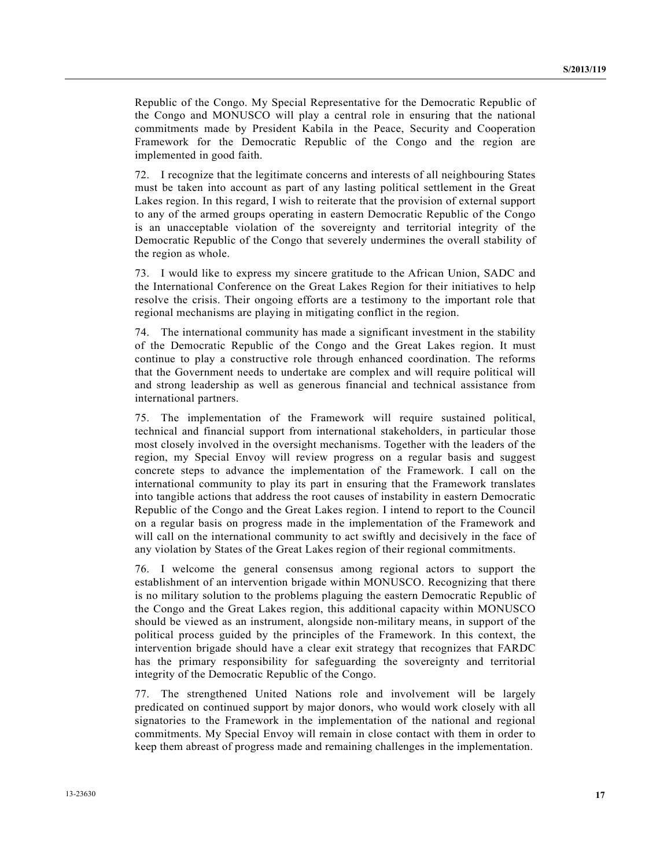Republic of the Congo. My Special Representative for the Democratic Republic of the Congo and MONUSCO will play a central role in ensuring that the national commitments made by President Kabila in the Peace, Security and Cooperation Framework for the Democratic Republic of the Congo and the region are implemented in good faith.

72. I recognize that the legitimate concerns and interests of all neighbouring States must be taken into account as part of any lasting political settlement in the Great Lakes region. In this regard, I wish to reiterate that the provision of external support to any of the armed groups operating in eastern Democratic Republic of the Congo is an unacceptable violation of the sovereignty and territorial integrity of the Democratic Republic of the Congo that severely undermines the overall stability of the region as whole.

73. I would like to express my sincere gratitude to the African Union, SADC and the International Conference on the Great Lakes Region for their initiatives to help resolve the crisis. Their ongoing efforts are a testimony to the important role that regional mechanisms are playing in mitigating conflict in the region.

74. The international community has made a significant investment in the stability of the Democratic Republic of the Congo and the Great Lakes region. It must continue to play a constructive role through enhanced coordination. The reforms that the Government needs to undertake are complex and will require political will and strong leadership as well as generous financial and technical assistance from international partners.

75. The implementation of the Framework will require sustained political, technical and financial support from international stakeholders, in particular those most closely involved in the oversight mechanisms. Together with the leaders of the region, my Special Envoy will review progress on a regular basis and suggest concrete steps to advance the implementation of the Framework. I call on the international community to play its part in ensuring that the Framework translates into tangible actions that address the root causes of instability in eastern Democratic Republic of the Congo and the Great Lakes region. I intend to report to the Council on a regular basis on progress made in the implementation of the Framework and will call on the international community to act swiftly and decisively in the face of any violation by States of the Great Lakes region of their regional commitments.

76. I welcome the general consensus among regional actors to support the establishment of an intervention brigade within MONUSCO. Recognizing that there is no military solution to the problems plaguing the eastern Democratic Republic of the Congo and the Great Lakes region, this additional capacity within MONUSCO should be viewed as an instrument, alongside non-military means, in support of the political process guided by the principles of the Framework. In this context, the intervention brigade should have a clear exit strategy that recognizes that FARDC has the primary responsibility for safeguarding the sovereignty and territorial integrity of the Democratic Republic of the Congo.

77. The strengthened United Nations role and involvement will be largely predicated on continued support by major donors, who would work closely with all signatories to the Framework in the implementation of the national and regional commitments. My Special Envoy will remain in close contact with them in order to keep them abreast of progress made and remaining challenges in the implementation.